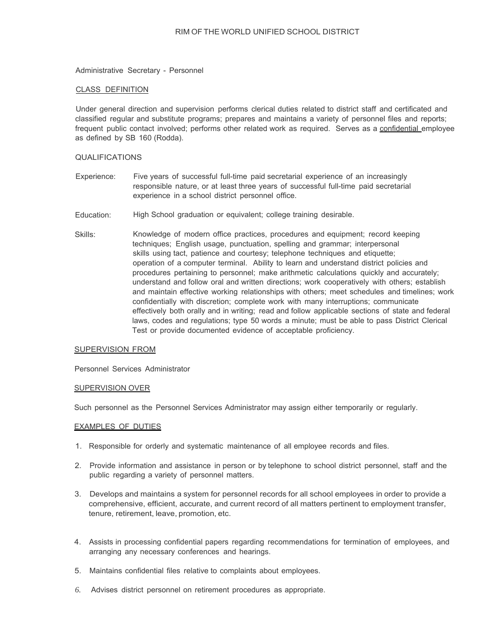Administrative Secretary - Personnel

# CLASS DEFINITION

Under general direction and supervision performs clerical duties related to district staff and certificated and classified regular and substitute programs; prepares and maintains a variety of personnel files and reports; frequent public contact involved; performs other related work as required. Serves as a confidential employee as defined by SB 160 (Rodda).

# QUALIFICATIONS

- Experience: Five years of successful full-time paid secretarial experience of an increasingly responsible nature, or at least three years of successful full-time paid secretarial experience in a school district personnel office.
- Education: High School graduation or equivalent; college training desirable.
- Skills: Knowledge of modern office practices, procedures and equipment; record keeping techniques; English usage, punctuation, spelling and grammar; interpersonal skills using tact, patience and courtesy; telephone techniques and etiquette; operation of a computer terminal. Ability to learn and understand district policies and procedures pertaining to personnel; make arithmetic calculations quickly and accurately; understand and follow oral and written directions; work cooperatively with others; establish and maintain effective working relationships with others; meet schedules and timelines; work confidentially with discretion; complete work with many interruptions; communicate effectively both orally and in writing; read and follow applicable sections of state and federal laws, codes and regulations; type 50 words a minute; must be able to pass District Clerical Test or provide documented evidence of acceptable proficiency.

#### SUPERVISION FROM

Personnel Services Administrator

### SUPERVISION OVER

Such personnel as the Personnel Services Administrator may assign either temporarily or regularly.

### EXAMPLES OF DUTIES

- 1. Responsible for orderly and systematic maintenance of all employee records and files.
- 2. Provide information and assistance in person or by telephone to school district personnel, staff and the public regarding a variety of personnel matters.
- 3. Develops and maintains a system for personnel records for all school employees in order to provide a comprehensive, efficient, accurate, and current record of all matters pertinent to employment transfer, tenure, retirement, leave, promotion, etc.
- 4. Assists in processing confidential papers regarding recommendations for termination of employees, and arranging any necessary conferences and hearings.
- 5. Maintains confidential files relative to complaints about employees.
- *6.* Advises district personnel on retirement procedures as appropriate.